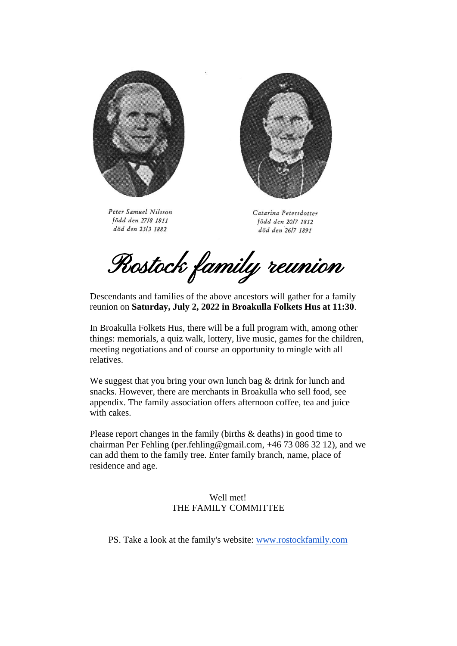

Peter Samuel Nilsson född den 27/8 1811 död den 23/3 1882



Catarina Petersdotter född den 2017 1812 död den 26/7 1891

Rostock family reunion

Descendants and families of the above ancestors will gather for a family reunion on **Saturday, July 2, 2022 in Broakulla Folkets Hus at 11:30**.

In Broakulla Folkets Hus, there will be a full program with, among other things: memorials, a quiz walk, lottery, live music, games for the children, meeting negotiations and of course an opportunity to mingle with all relatives.

We suggest that you bring your own lunch bag & drink for lunch and snacks. However, there are merchants in Broakulla who sell food, see appendix. The family association offers afternoon coffee, tea and juice with cakes.

Please report changes in the family (births & deaths) in good time to chairman Per Fehling (per.fehling@gmail.com, +46 73 086 32 12), and we can add them to the family tree. Enter family branch, name, place of residence and age.

> Well met! THE FAMILY COMMITTEE

PS. Take a look at the family's website: [www.rostockfamily.com](http://www.rostockfamily.com/)